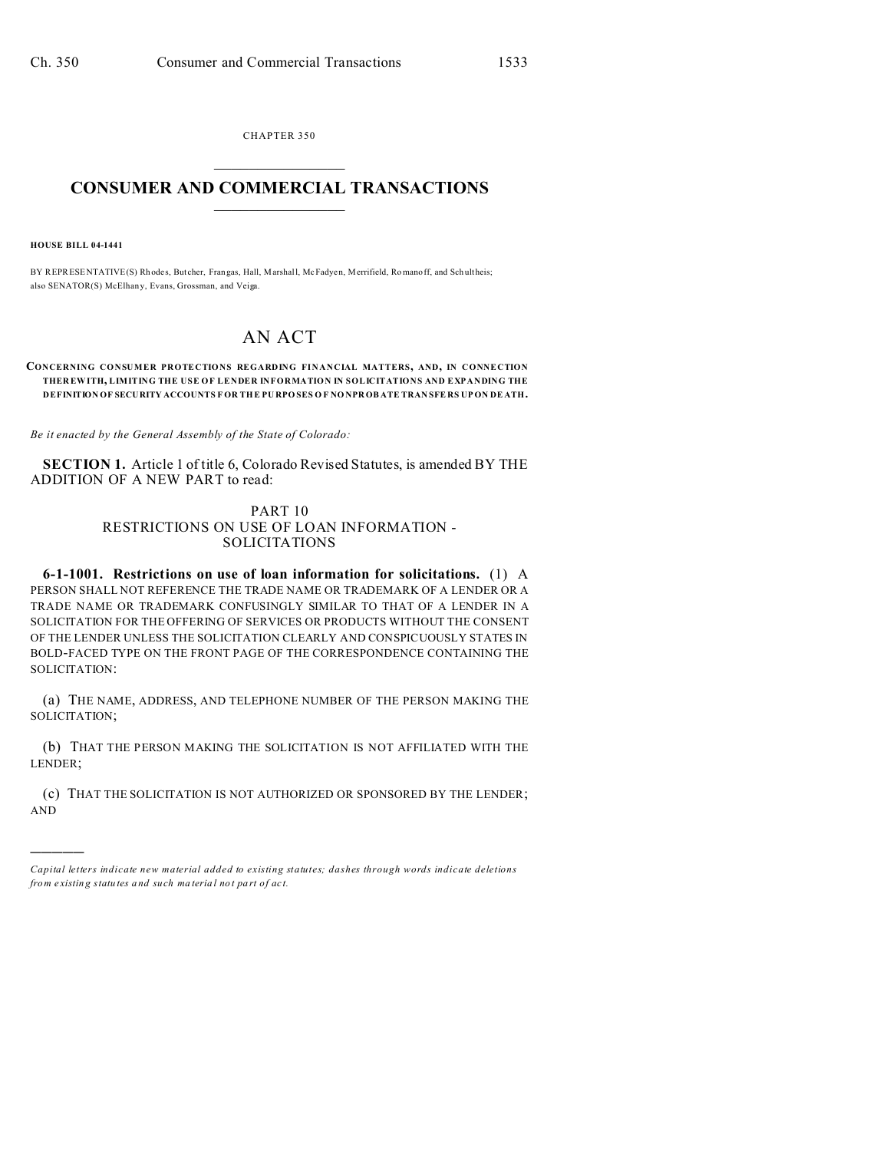CHAPTER 350  $\overline{\phantom{a}}$  , where  $\overline{\phantom{a}}$ 

## **CONSUMER AND COMMERCIAL TRANSACTIONS**  $\_$   $\_$   $\_$   $\_$   $\_$   $\_$   $\_$   $\_$

**HOUSE BILL 04-1441**

)))))

BY REPRESENTATIVE(S) Rh odes, Butcher, Frangas, Hall, Marshall, McFadyen, Merrifield, Romanoff, and Schultheis; also SENATOR(S) McElhany, Evans, Grossman, and Veiga.

## AN ACT

## **CONCERNING CONSUMER PROTECTIONS REGARDING FINANCIAL MATTERS, AND, IN CONNECTION THER EWITH, LIMITING THE USE OF LENDER INFORMATION IN SOLICITATIONS AND EXPANDING THE DEFINITION OF SECURITY ACCOUNTS F OR THE PU RPO SES O F NO NPROB ATE TRAN SFE RS UP ON DE ATH.**

*Be it enacted by the General Assembly of the State of Colorado:*

**SECTION 1.** Article 1 of title 6, Colorado Revised Statutes, is amended BY THE ADDITION OF A NEW PART to read:

## PART 10 RESTRICTIONS ON USE OF LOAN INFORMATION - SOLICITATIONS

**6-1-1001. Restrictions on use of loan information for solicitations.** (1) A PERSON SHALL NOT REFERENCE THE TRADE NAME OR TRADEMARK OF A LENDER OR A TRADE NAME OR TRADEMARK CONFUSINGLY SIMILAR TO THAT OF A LENDER IN A SOLICITATION FOR THE OFFERING OF SERVICES OR PRODUCTS WITHOUT THE CONSENT OF THE LENDER UNLESS THE SOLICITATION CLEARLY AND CONSPICUOUSLY STATES IN BOLD-FACED TYPE ON THE FRONT PAGE OF THE CORRESPONDENCE CONTAINING THE SOLICITATION:

(a) THE NAME, ADDRESS, AND TELEPHONE NUMBER OF THE PERSON MAKING THE SOLICITATION;

(b) THAT THE PERSON MAKING THE SOLICITATION IS NOT AFFILIATED WITH THE LENDER;

(c) THAT THE SOLICITATION IS NOT AUTHORIZED OR SPONSORED BY THE LENDER; AND

*Capital letters indicate new material added to existing statutes; dashes through words indicate deletions from e xistin g statu tes a nd such ma teria l no t pa rt of ac t.*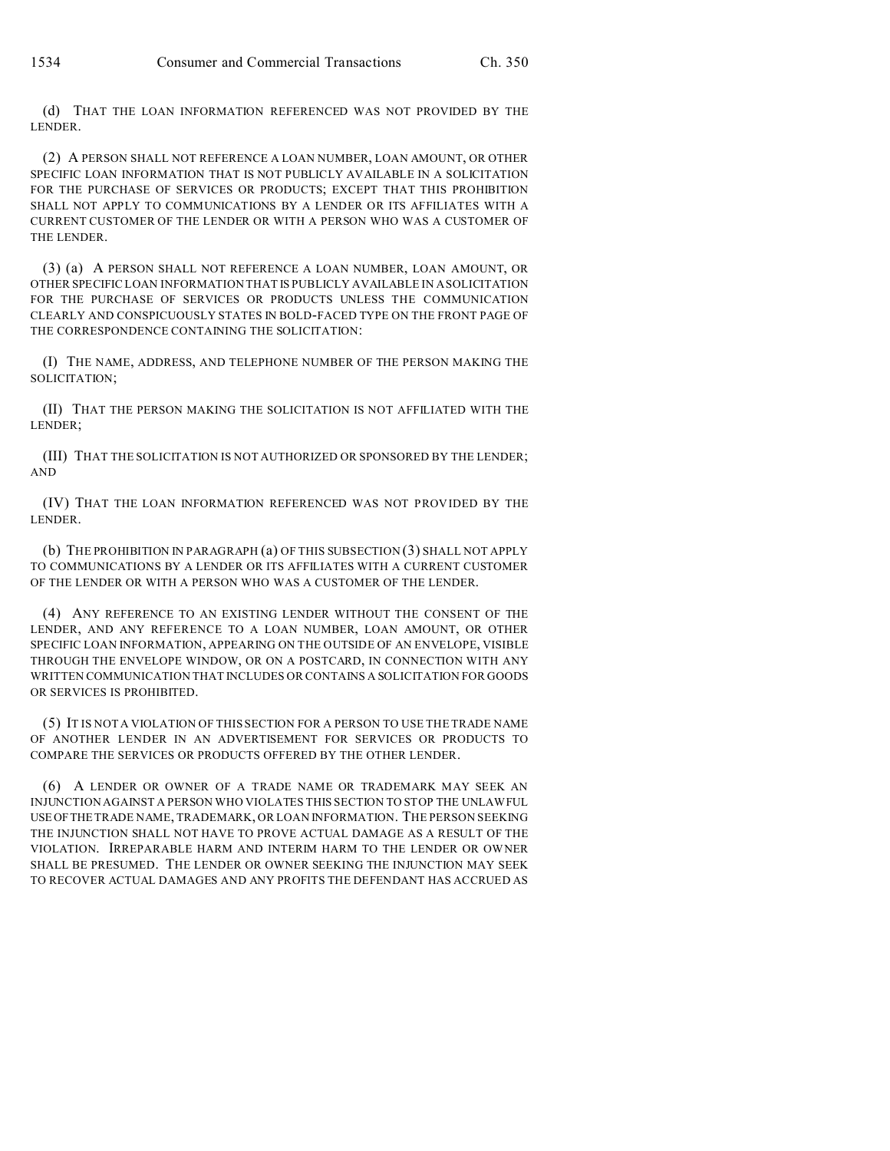(d) THAT THE LOAN INFORMATION REFERENCED WAS NOT PROVIDED BY THE LENDER.

(2) A PERSON SHALL NOT REFERENCE A LOAN NUMBER, LOAN AMOUNT, OR OTHER SPECIFIC LOAN INFORMATION THAT IS NOT PUBLICLY AVAILABLE IN A SOLICITATION FOR THE PURCHASE OF SERVICES OR PRODUCTS; EXCEPT THAT THIS PROHIBITION SHALL NOT APPLY TO COMMUNICATIONS BY A LENDER OR ITS AFFILIATES WITH A CURRENT CUSTOMER OF THE LENDER OR WITH A PERSON WHO WAS A CUSTOMER OF THE LENDER.

(3) (a) A PERSON SHALL NOT REFERENCE A LOAN NUMBER, LOAN AMOUNT, OR OTHER SPECIFIC LOAN INFORMATION THAT IS PUBLICLY AVAILABLE IN A SOLICITATION FOR THE PURCHASE OF SERVICES OR PRODUCTS UNLESS THE COMMUNICATION CLEARLY AND CONSPICUOUSLY STATES IN BOLD-FACED TYPE ON THE FRONT PAGE OF THE CORRESPONDENCE CONTAINING THE SOLICITATION:

(I) THE NAME, ADDRESS, AND TELEPHONE NUMBER OF THE PERSON MAKING THE SOLICITATION;

(II) THAT THE PERSON MAKING THE SOLICITATION IS NOT AFFILIATED WITH THE LENDER;

(III) THAT THE SOLICITATION IS NOT AUTHORIZED OR SPONSORED BY THE LENDER; AND

(IV) THAT THE LOAN INFORMATION REFERENCED WAS NOT PROVIDED BY THE LENDER.

(b) THE PROHIBITION IN PARAGRAPH (a) OF THIS SUBSECTION (3) SHALL NOT APPLY TO COMMUNICATIONS BY A LENDER OR ITS AFFILIATES WITH A CURRENT CUSTOMER OF THE LENDER OR WITH A PERSON WHO WAS A CUSTOMER OF THE LENDER.

(4) ANY REFERENCE TO AN EXISTING LENDER WITHOUT THE CONSENT OF THE LENDER, AND ANY REFERENCE TO A LOAN NUMBER, LOAN AMOUNT, OR OTHER SPECIFIC LOAN INFORMATION, APPEARING ON THE OUTSIDE OF AN ENVELOPE, VISIBLE THROUGH THE ENVELOPE WINDOW, OR ON A POSTCARD, IN CONNECTION WITH ANY WRITTEN COMMUNICATION THAT INCLUDES OR CONTAINS A SOLICITATION FOR GOODS OR SERVICES IS PROHIBITED.

(5) IT IS NOT A VIOLATION OF THIS SECTION FOR A PERSON TO USE THE TRADE NAME OF ANOTHER LENDER IN AN ADVERTISEMENT FOR SERVICES OR PRODUCTS TO COMPARE THE SERVICES OR PRODUCTS OFFERED BY THE OTHER LENDER.

(6) A LENDER OR OWNER OF A TRADE NAME OR TRADEMARK MAY SEEK AN INJUNCTION AGAINST A PERSON WHO VIOLATES THIS SECTION TO STOP THE UNLAWFUL USEOFTHE TRADE NAME, TRADEMARK, OR LOAN INFORMATION. THE PERSON SEEKING THE INJUNCTION SHALL NOT HAVE TO PROVE ACTUAL DAMAGE AS A RESULT OF THE VIOLATION. IRREPARABLE HARM AND INTERIM HARM TO THE LENDER OR OWNER SHALL BE PRESUMED. THE LENDER OR OWNER SEEKING THE INJUNCTION MAY SEEK TO RECOVER ACTUAL DAMAGES AND ANY PROFITS THE DEFENDANT HAS ACCRUED AS